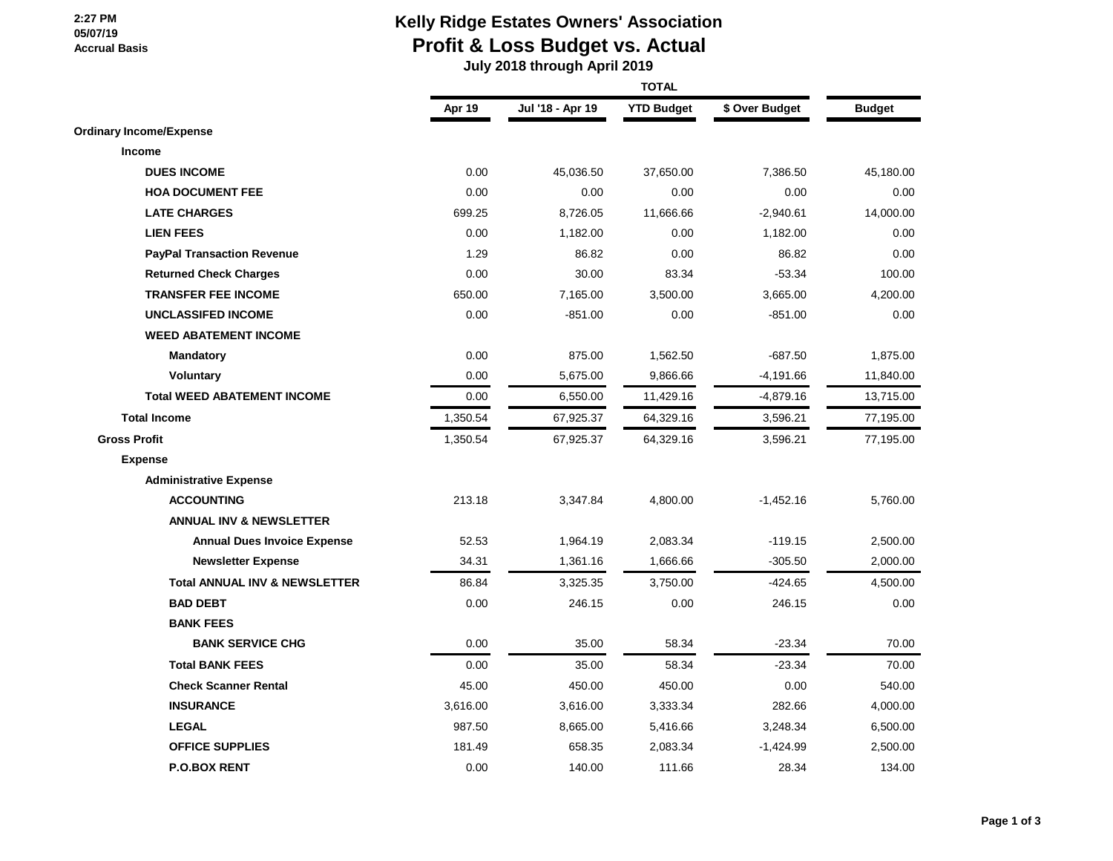### **2:27 PM 05/07/19 Accrual Basis**

## **Kelly Ridge Estates Owners' Association Profit & Loss Budget vs. Actual**

 **July 2018 through April 2019**

|                                          | <b>TOTAL</b> |                  |                   |                |               |
|------------------------------------------|--------------|------------------|-------------------|----------------|---------------|
|                                          | Apr 19       | Jul '18 - Apr 19 | <b>YTD Budget</b> | \$ Over Budget | <b>Budget</b> |
| <b>Ordinary Income/Expense</b>           |              |                  |                   |                |               |
| Income                                   |              |                  |                   |                |               |
| <b>DUES INCOME</b>                       | 0.00         | 45,036.50        | 37,650.00         | 7,386.50       | 45,180.00     |
| <b>HOA DOCUMENT FEE</b>                  | 0.00         | 0.00             | 0.00              | 0.00           | 0.00          |
| <b>LATE CHARGES</b>                      | 699.25       | 8,726.05         | 11,666.66         | $-2,940.61$    | 14,000.00     |
| <b>LIEN FEES</b>                         | 0.00         | 1,182.00         | 0.00              | 1,182.00       | 0.00          |
| <b>PayPal Transaction Revenue</b>        | 1.29         | 86.82            | 0.00              | 86.82          | 0.00          |
| <b>Returned Check Charges</b>            | 0.00         | 30.00            | 83.34             | $-53.34$       | 100.00        |
| <b>TRANSFER FEE INCOME</b>               | 650.00       | 7,165.00         | 3,500.00          | 3,665.00       | 4,200.00      |
| <b>UNCLASSIFED INCOME</b>                | 0.00         | $-851.00$        | 0.00              | $-851.00$      | 0.00          |
| <b>WEED ABATEMENT INCOME</b>             |              |                  |                   |                |               |
| <b>Mandatory</b>                         | 0.00         | 875.00           | 1,562.50          | $-687.50$      | 1,875.00      |
| <b>Voluntary</b>                         | 0.00         | 5,675.00         | 9,866.66          | $-4,191.66$    | 11,840.00     |
| <b>Total WEED ABATEMENT INCOME</b>       | 0.00         | 6,550.00         | 11,429.16         | $-4,879.16$    | 13,715.00     |
| <b>Total Income</b>                      | 1,350.54     | 67,925.37        | 64,329.16         | 3,596.21       | 77,195.00     |
| <b>Gross Profit</b>                      | 1,350.54     | 67,925.37        | 64,329.16         | 3,596.21       | 77,195.00     |
| <b>Expense</b>                           |              |                  |                   |                |               |
| <b>Administrative Expense</b>            |              |                  |                   |                |               |
| <b>ACCOUNTING</b>                        | 213.18       | 3,347.84         | 4,800.00          | $-1,452.16$    | 5,760.00      |
| <b>ANNUAL INV &amp; NEWSLETTER</b>       |              |                  |                   |                |               |
| <b>Annual Dues Invoice Expense</b>       | 52.53        | 1,964.19         | 2,083.34          | $-119.15$      | 2,500.00      |
| <b>Newsletter Expense</b>                | 34.31        | 1,361.16         | 1,666.66          | $-305.50$      | 2,000.00      |
| <b>Total ANNUAL INV &amp; NEWSLETTER</b> | 86.84        | 3,325.35         | 3,750.00          | $-424.65$      | 4,500.00      |
| <b>BAD DEBT</b>                          | 0.00         | 246.15           | 0.00              | 246.15         | 0.00          |
| <b>BANK FEES</b>                         |              |                  |                   |                |               |
| <b>BANK SERVICE CHG</b>                  | 0.00         | 35.00            | 58.34             | $-23.34$       | 70.00         |
| <b>Total BANK FEES</b>                   | 0.00         | 35.00            | 58.34             | $-23.34$       | 70.00         |
| <b>Check Scanner Rental</b>              | 45.00        | 450.00           | 450.00            | 0.00           | 540.00        |
| <b>INSURANCE</b>                         | 3,616.00     | 3,616.00         | 3,333.34          | 282.66         | 4,000.00      |
| <b>LEGAL</b>                             | 987.50       | 8,665.00         | 5,416.66          | 3,248.34       | 6,500.00      |
| <b>OFFICE SUPPLIES</b>                   | 181.49       | 658.35           | 2,083.34          | $-1,424.99$    | 2,500.00      |
| <b>P.O.BOX RENT</b>                      | 0.00         | 140.00           | 111.66            | 28.34          | 134.00        |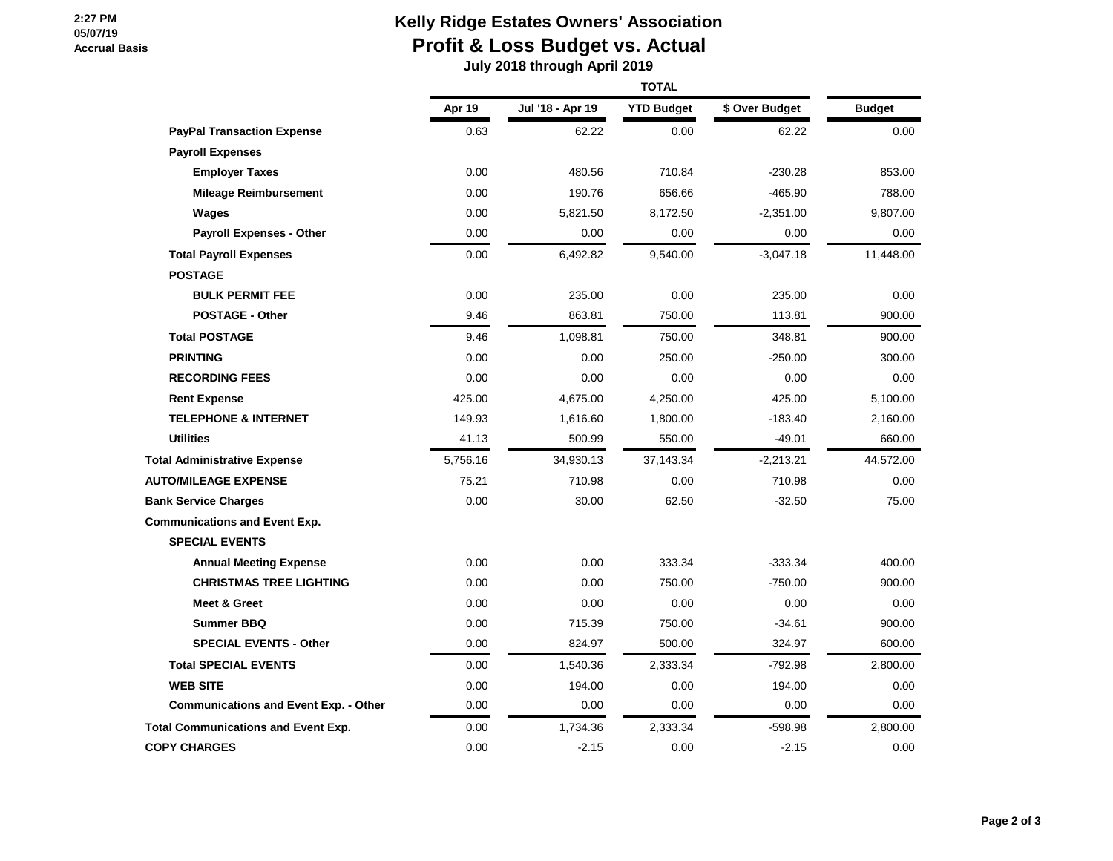### **2:27 PM 05/07/19 Accrual Basis**

# **Kelly Ridge Estates Owners' Association Profit & Loss Budget vs. Actual**

 **July 2018 through April 2019**

|                                              | Apr 19   | Jul '18 - Apr 19 | <b>YTD Budget</b> | \$ Over Budget | <b>Budget</b> |
|----------------------------------------------|----------|------------------|-------------------|----------------|---------------|
| <b>PayPal Transaction Expense</b>            | 0.63     | 62.22            | 0.00              | 62.22          | 0.00          |
| <b>Payroll Expenses</b>                      |          |                  |                   |                |               |
| <b>Employer Taxes</b>                        | 0.00     | 480.56           | 710.84            | $-230.28$      | 853.00        |
| <b>Mileage Reimbursement</b>                 | 0.00     | 190.76           | 656.66            | $-465.90$      | 788.00        |
| Wages                                        | 0.00     | 5,821.50         | 8,172.50          | $-2,351.00$    | 9,807.00      |
| <b>Payroll Expenses - Other</b>              | 0.00     | 0.00             | 0.00              | 0.00           | 0.00          |
| <b>Total Payroll Expenses</b>                | 0.00     | 6,492.82         | 9,540.00          | $-3,047.18$    | 11,448.00     |
| <b>POSTAGE</b>                               |          |                  |                   |                |               |
| <b>BULK PERMIT FEE</b>                       | 0.00     | 235.00           | 0.00              | 235.00         | 0.00          |
| <b>POSTAGE - Other</b>                       | 9.46     | 863.81           | 750.00            | 113.81         | 900.00        |
| <b>Total POSTAGE</b>                         | 9.46     | 1,098.81         | 750.00            | 348.81         | 900.00        |
| <b>PRINTING</b>                              | 0.00     | 0.00             | 250.00            | -250.00        | 300.00        |
| <b>RECORDING FEES</b>                        | 0.00     | 0.00             | 0.00              | 0.00           | 0.00          |
| <b>Rent Expense</b>                          | 425.00   | 4,675.00         | 4,250.00          | 425.00         | 5,100.00      |
| <b>TELEPHONE &amp; INTERNET</b>              | 149.93   | 1,616.60         | 1,800.00          | $-183.40$      | 2,160.00      |
| <b>Utilities</b>                             | 41.13    | 500.99           | 550.00            | $-49.01$       | 660.00        |
| <b>Total Administrative Expense</b>          | 5,756.16 | 34,930.13        | 37,143.34         | $-2,213.21$    | 44,572.00     |
| <b>AUTO/MILEAGE EXPENSE</b>                  | 75.21    | 710.98           | 0.00              | 710.98         | 0.00          |
| <b>Bank Service Charges</b>                  | 0.00     | 30.00            | 62.50             | $-32.50$       | 75.00         |
| <b>Communications and Event Exp.</b>         |          |                  |                   |                |               |
| <b>SPECIAL EVENTS</b>                        |          |                  |                   |                |               |
| <b>Annual Meeting Expense</b>                | 0.00     | 0.00             | 333.34            | $-333.34$      | 400.00        |
| <b>CHRISTMAS TREE LIGHTING</b>               | 0.00     | 0.00             | 750.00            | $-750.00$      | 900.00        |
| Meet & Greet                                 | 0.00     | 0.00             | 0.00              | 0.00           | 0.00          |
| <b>Summer BBQ</b>                            | 0.00     | 715.39           | 750.00            | $-34.61$       | 900.00        |
| <b>SPECIAL EVENTS - Other</b>                | 0.00     | 824.97           | 500.00            | 324.97         | 600.00        |
| <b>Total SPECIAL EVENTS</b>                  | 0.00     | 1,540.36         | 2,333.34          | -792.98        | 2,800.00      |
| <b>WEB SITE</b>                              | 0.00     | 194.00           | 0.00              | 194.00         | 0.00          |
| <b>Communications and Event Exp. - Other</b> | 0.00     | 0.00             | 0.00              | 0.00           | 0.00          |
| <b>Total Communications and Event Exp.</b>   | 0.00     | 1,734.36         | 2,333.34          | -598.98        | 2,800.00      |
| <b>COPY CHARGES</b>                          | 0.00     | $-2.15$          | 0.00              | $-2.15$        | 0.00          |